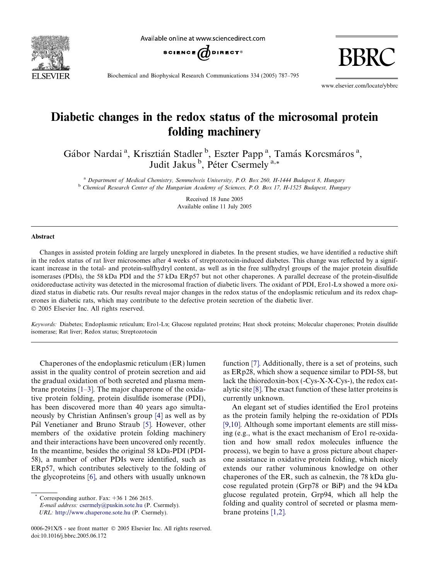

Available online at www.sciencedirect.com



BBRC

Biochemical and Biophysical Research Communications 334 (2005) 787–795

www.elsevier.com/locate/ybbrc

# Diabetic changes in the redox status of the microsomal protein folding machinery

Gábor Nardai<sup>a</sup>, Krisztián Stadler<sup>b</sup>, Eszter Papp<sup>a</sup>, Tamás Korcsmáros<sup>a</sup>, Judit Jakus<sup>b</sup>, Péter Csermely<sup>a,\*</sup>

<sup>a</sup> Department of Medical Chemistry, Semmelweis University, P.O. Box 260, H-1444 Budapest 8, Hungary <sup>b</sup> Chemical Research Center of the Hungarian Academy of Sciences, P.O. Box 17, H-1525 Budapest, Hungary

> Received 18 June 2005 Available online 11 July 2005

#### Abstract

Changes in assisted protein folding are largely unexplored in diabetes. In the present studies, we have identified a reductive shift in the redox status of rat liver microsomes after 4 weeks of streptozotocin-induced diabetes. This change was reflected by a significant increase in the total- and protein-sulfhydryl content, as well as in the free sulfhydryl groups of the major protein disulfide isomerases (PDIs), the 58 kDa PDI and the 57 kDa ERp57 but not other chaperones. A parallel decrease of the protein-disulfide oxidoreductase activity was detected in the microsomal fraction of diabetic livers. The oxidant of PDI, Ero1-La showed a more oxidized status in diabetic rats. Our results reveal major changes in the redox status of the endoplasmic reticulum and its redox chaperones in diabetic rats, which may contribute to the defective protein secretion of the diabetic liver. 2005 Elsevier Inc. All rights reserved.

Keywords: Diabetes; Endoplasmic reticulum; Ero1-La; Glucose regulated proteins; Heat shock proteins; Molecular chaperones; Protein disulfide isomerase; Rat liver; Redox status; Streptozotocin

Chaperones of the endoplasmic reticulum (ER) lumen assist in the quality control of protein secretion and aid the gradual oxidation of both secreted and plasma membrane proteins [\[1–3\]](#page-7-0). The major chaperone of the oxidative protein folding, protein disulfide isomerase (PDI), has been discovered more than 40 years ago simulta-neously by Christian Anfinsen's group [\[4\]](#page-7-0) as well as by Pál Venetianer and Bruno Straub [\[5\]](#page-7-0). However, other members of the oxidative protein folding machinery and their interactions have been uncovered only recently. In the meantime, besides the original 58 kDa-PDI (PDI-58), a number of other PDIs were identified, such as ERp57, which contributes selectively to the folding of the glycoproteins [\[6\]](#page-7-0), and others with usually unknown

E-mail address: [csermely@puskin.sote.hu](mailto:csermely@puskin.sote.hu) (P. Csermely).

URL: <http://www.chaperone.sote.hu> (P. Csermely).

function [\[7\]](#page-7-0). Additionally, there is a set of proteins, such as ERp28, which show a sequence similar to PDI-58, but lack the thioredoxin-box (-Cys-X-X-Cys-), the redox catalytic site [\[8\]](#page-7-0). The exact function of these latter proteins is currently unknown.

An elegant set of studies identified the Ero1 proteins as the protein family helping the re-oxidation of PDIs [\[9,10\].](#page-7-0) Although some important elements are still missing (e.g., what is the exact mechanism of Ero1 re-oxidation and how small redox molecules influence the process), we begin to have a gross picture about chaperone assistance in oxidative protein folding, which nicely extends our rather voluminous knowledge on other chaperones of the ER, such as calnexin, the 78 kDa glucose regulated protein (Grp78 or BiP) and the 94 kDa glucose regulated protein, Grp94, which all help the folding and quality control of secreted or plasma membrane proteins [\[1,2\]](#page-7-0).

Corresponding author. Fax:  $+36$  1 266 2615.

<sup>0006-291</sup>X/\$ - see front matter  $\odot$  2005 Elsevier Inc. All rights reserved. doi:10.1016/j.bbrc.2005.06.172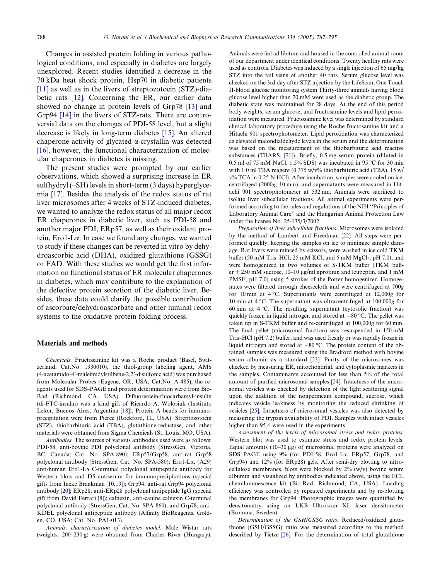Changes in assisted protein folding in various pathological conditions, and especially in diabetes are largely unexplored. Recent studies identified a decrease in the 70 kDa heat shock protein, Hsp70 in diabetic patients [\[11\]](#page-7-0) as well as in the livers of streptozotocin (STZ)-diabetic rats [\[12\]](#page-7-0). Concerning the ER, our earlier data showed no change in protein levels of Grp78 [\[13\]](#page-7-0) and Grp94 [\[14\]](#page-7-0) in the livers of STZ-rats. There are controversial data on the changes of PDI-58 level, but a slight decrease is likely in long-term diabetes [\[15\]](#page-7-0). An altered chaperone activity of glycated  $\alpha$ -crystallin was detected [\[16\]](#page-7-0), however, the functional characterization of molecular chaperones in diabetes is missing.

The present studies were prompted by our earlier observations, which showed a surprising increase in ER sulfhydryl (–SH) levels in short-term (3 days) hyperglycemia [\[17\]](#page-7-0). Besides the analysis of the redox status of rat liver microsomes after 4 weeks of STZ-induced diabetes, we wanted to analyze the redox status of all major redox ER chaperones in diabetic liver, such as PDI-58 and another major PDI, ERp57, as well as their oxidant protein, Ero1-La. In case we found any changes, we wanted to study if these changes can be reverted in vitro by dehydroascorbic acid (DHA), oxidized glutathione (GSSG) or FAD. With these studies we would get the first information on functional status of ER molecular chaperones in diabetes, which may contribute to the explanation of the defective protein secretion of the diabetic liver. Besides, these data could clarify the possible contribution of ascorbate/dehydroascorbate and other luminal redox systems to the oxidative protein folding process.

## Materials and methods

Chemicals. Fructosamine kit was a Roche product (Basel, Switzerland; Cat.No. 1930010), the thiol-group labeling agent, AMS (4-acetamido-4'-maleimidylstilbene-2,2'-disulfonic acid) was purchased from Molecular Probes (Eugene, OR, USA; Cat.No. A-485), the reagents used for SDS–PAGE and protein determination were from Bio-Rad (Richmond, CA, USA). Difluorescein-thiocarbamyl-insulin (di-FTC-insulin) was a kind gift of Ricardo A. Wolosiuk (Instituto Leloir, Buenos Aires, Argentina [\[18\]\)](#page-7-0). Protein A beads for immunoprecipitation were from Pierce (Rockford, IL, USA). Streptozotocin (STZ), thiobarbituric acid (TBA), glutathione-reductase, and other materials were obtained from Sigma Chemicals (St. Louis, MO, USA).

Antibodies. The sources of various antibodies used were as follows: PDI-58, anti-bovine PDI polyclonal antibody (StressGen, Victoria, BC, Canada; Cat. No. SPA-890); ERp57/Grp58, anti-rat Grp58 polyclonal antibody (StressGen, Cat. No. SPA-580); Ero1-La, (A29) anti-human Ero1-La C-terminal polyclonal antipeptide antibody for Western blots and D5 antiserum for immunoprecipitations (special gifts from Ineke Braakman [\[10,19\]](#page-7-0)); Grp94, anti-rat Grp94 polyclonal antibody [\[20\];](#page-8-0) ERp28, anti-ERp28 polyclonal antipeptide IgG (special gift from David Ferrari [\[8\]](#page-7-0)); calnexin, anti-canine calnexin C-terminal polyclonal antibody (StressGen, Cat. No. SPA-860); and Grp78, anti-KDEL polyclonal antipeptide antibody (Affinity BioReagents, Golden, CO, USA; Cat. No. PA1-013).

Animals, characterization of diabetes model. Male Wistar rats (weights: 200–230 g) were obtained from Charles River (Hungary). Animals were fed ad libitum and housed in the controlled animal room of our department under identical conditions. Twenty healthy rats were used as controls. Diabetes was induced by a single injection of 65 mg/kg STZ into the tail veins of another 40 rats. Serum glucose level was checked on the 3rd day after STZ injection by the LifeScan, One Touch II-blood glucose monitoring system Thirty-three animals having blood glucose level higher than 20 mM were used as the diabetic group. The diabetic state was maintained for 28 days. At the end of this period body weights, serum glucose, and fructosamine levels and lipid peroxidation were measured. Fructosamine level was determined by standard clinical laboratory procedure using the Roche fructosamine kit and a Hitachi 901 spectrophotometer. Lipid peroxidation was characterized as elevated malondialdehyde levels in the serum and the determination was based on the measurement of the thiobarbituric acid reactive substances (TBARS, [\[21\]](#page-8-0)). Briefly, 0.5 mg serum protein (diluted in 0.5 ml of 75 mM NaCl,  $1.5\%$  SDS) was incubated in 95 °C for 30 min with 1.0 ml TBA reagent  $(0.375 \text{ w/v\%}$  thiobarbituric acid (TBA), 15 w/ v% TCA in 0.25 N HCl). After incubation, samples were cooled on ice, centrifuged (2000g, 10 min), and supernatants were measured in Hitachi 901 spectrophotometer at 532 nm. Animals were sacrificed to isolate liver subcellular fractions. All animal experiments were performed according to the rules and regulations of the NIH ''Principles of Laboratory Animal Care'' and the Hungarian Animal Protection Law under the license No. 25-135/3/2002.

Preparation of liver subcellular fractions. Microsomes were isolated by the method of Lambert and Freedman [\[22\].](#page-8-0) All steps were performed quickly, keeping the samples on ice to minimize sample damage. Rat livers were minced by scissors, were washed in ice cold TKM buffer (50 mM Tris–HCl, 25 mM KCl, and 5 mM  $MgCl<sub>2</sub>$ , pH 7.0), and were homogenized in two volumes of S-TKM buffer (TKM buffer  $+ 250$  mM sucrose, 10–10 µg/ml aprotinin and leupeptin, and 1 mM PMSF, pH 7.0) using 5 strokes of the Potter homogenizer. Homogenates were filtered through cheesecloth and were centrifuged at 700g for 10 min at  $4^{\circ}$ C. Supernatants were centrifuged at 12,000g for 10 min at 4  $\degree$ C. The supernatant was ultracentrifuged at 100,000g for 60 min at  $4^{\circ}$ C. The resulting supernatant (cytosolic fraction) was quickly frozen in liquid nitrogen and stored at  $-80$  °C. The pellet was taken up in S-TKM buffer and re-centrifuged at 100,000g for 60 min. The final pellet (microsomal fraction) was resuspended in 150 mM Tris–HCl (pH 7.2) buffer, and was used freshly or was rapidly frozen in liquid nitrogen and stored at  $-80$  °C. The protein content of the obtained samples was measured using the Bradford method with bovine serum albumin as a standard [\[23\]](#page-8-0). Purity of the microsomes was checked by measuring ER, mitochondrial, and cytoplasmic markers in the samples. Contaminants accounted for less than 5% of the total amount of purified microsomal samples [\[24\].](#page-8-0) Intactness of the microsomal vesicles was checked by detection of the light scattering signal upon the addition of the nonpermeant compound, sucrose, which indicates vesicle leakiness by monitoring the reduced shrinking of vesicles [\[25\]](#page-8-0). Intactness of microsomal vesicles was also detected by measuring the trypsin availability of PDI. Samples with intact vesicles higher than 95% were used in the experiments.

Assessment of the levels of microsomal stress and redox proteins. Western blot was used to estimate stress and redox protein levels. Equal amounts  $(10-30 \mu g)$  of microsomal proteins were analyzed on SDS–PAGE using 9% (for PDI-58, Ero1-La, ERp57, Grp78, and Grp94) and 12% (for ERp28) gels. After semi-dry blotting to nitrocellulose membranes, blots were blocked by  $2\%$  (w/v) bovine serum albumin and visualized by antibodies indicated above, using the ECL chemiluminescence kit (Bio-Rad, Richmond, CA, USA). Loading efficiency was controlled by repeated experiments and by re-blotting the membranes for Grp94. Photographic images were quantified by densitometry using an LKB Ultroscan XL laser densitometer (Bromma, Sweden).

Determination of the GSH/GSSG ratio. Reduced/oxidized glutathione (GSH/GSSG) ratio was measured according to the method described by Tietze [\[26\]](#page-8-0). For the determination of total glutathione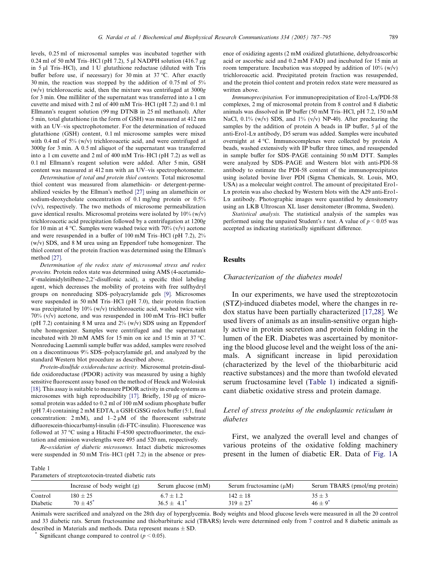levels, 0.25 ml of microsomal samples was incubated together with 0.24 ml of 50 mM Tris–HCl (pH 7.2), 5 µl NADPH solution (416.7 µg in 5 µl Tris–HCl), and 1 U glutathione reductase (diluted with Tris buffer before use, if necessary) for 30 min at 37 °C. After exactly 30 min, the reaction was stopped by the addition of 0.75 ml of 5% (w/v) trichloroacetic acid, then the mixture was centrifuged at 3000g for 3 min. One milliliter of the supernatant was transferred into a 1 cm cuvette and mixed with 2 ml of 400 mM Tris–HCl (pH 7.2) and 0.1 ml Ellmann's reagent solution (99 mg DTNB in 25 ml methanol). After 5 min, total glutathione (in the form of GSH) was measured at 412 nm with an UV–vis spectrophotometer. For the determination of reduced glutathione (GSH) content, 0.1 ml microsome samples were mixed

with 0.4 ml of  $5\%$  (w/v) trichloroacetic acid, and were centrifuged at 3000g for 3 min. A 0.5 ml aliquot of the supernatant was transferred into a 1 cm cuvette and 2 ml of 400 mM Tris–HCl (pH 7.2) as well as 0.1 ml Ellmann's reagent solution were added. After 5 min, GSH content was measured at 412 nm with an UV–vis spectrophotometer. Determination of total and protein thiol contents. Total microsomal

thiol content was measured from alamethicin- or detergent-permeabilized vesicles by the Ellman's method  $[27]$  using an alamethicin or sodium-deoxycholate concentration of 0.1 mg/mg protein or 0.5%  $(v/v)$ , respectively. The two methods of microsome permeabilization gave identical results. Microsomal proteins were isolated by  $10\%$  (w/v) trichloroacetic acid precipitation followed by a centrifugation at 1200g for 10 min at 4 °C. Samples were washed twice with  $70\%$  (v/v) acetone and were resuspended in a buffer of 100 mM Tris–HCl (pH 7.2), 2% (w/v) SDS, and 8 M urea using an Eppendorf tube homogenizer. The thiol content of the protein fraction was determined using the Ellman's method [\[27\]](#page-8-0).

Determination of the redox state of microsomal stress and redox proteins. Protein redox state was determined using AMS (4-acetamido-4'-maleimidylstilbene-2,2'-disulfonic acid), a specific thiol labeling agent, which decreases the mobility of proteins with free sulfhydryl groups on nonreducing SDS–polyacrylamide gels [\[9\]](#page-7-0). Microsomes were suspended in 50 mM Tris–HCl (pH 7.0), their protein fraction was precipitated by 10% (w/v) trichloroacetic acid, washed twice with 70% (v/v) acetone, and was resuspended in 100 mM Tris–HCl buffer (pH 7.2) containing 8 M urea and  $2\%$  (w/v) SDS using an Eppendorf tube homogenizer. Samples were centrifuged and the supernatant incubated with 20 mM AMS for 15 min on ice and 15 min at 37  $^{\circ}$ C. Nonreducing Laemmli sample buffer was added, samples were resolved on a discontinuous 9% SDS–polyacrylamide gel, and analyzed by the standard Western blot procedure as described above.

Protein-disulfide oxidoreductase activity. Microsomal protein-disulfide oxidoreductase (PDOR) activity was measured by using a highly sensitive fluorescent assay based on the method of Heuck and Wolosiuk [\[18\].](#page-7-0) This assay is suitable to measure PDOR activity in crude systems as microsomes with high reproducibility [\[17\]](#page-7-0). Briefly, 150 µg of microsomal protein was added to 0.2 ml of 100 mM sodium phosphate buffer (pH 7.4) containing 2 mM EDTA, a GSH:GSSG redox buffer (5:1, final concentration:  $2 \text{ mM}$ ), and  $1-2 \mu \text{M}$  of the fluorescent substrate difluorescein-thiocarbamyl-insulin (di-FTC-insulin). Fluorescence was followed at  $37^{\circ}$ C using a Hitachi F-4500 spectrofluorimeter, the excitation and emission wavelengths were 495 and 520 nm, respectively.

Re-oxidation of diabetic microsomes. Intact diabetic microsomes were suspended in 50 mM Tris–HCl (pH 7.2) in the absence or presence of oxidizing agents (2 mM oxidized glutathione, dehydroascorbic acid or ascorbic acid and 0.2 mM FAD) and incubated for 15 min at room temperature. Incubation was stopped by addition of  $10\%$  (w/v) trichloroacetic acid. Precipitated protein fraction was resuspended, and the protein thiol content and protein redox state were measured as written above.

Immunoprecipitation. For immunoprecipitation of Ero1-La/PDI-58 complexes, 2 mg of microsomal protein from 8 control and 8 diabetic animals was dissolved in IP buffer (50 mM Tris–HCl, pH 7.2, 150 mM NaCl, 0.1% (w/v) SDS, and 1% (v/v) NP-40). After preclearing the samples by the addition of protein A beads in IP buffer,  $5 \mu l$  of the anti-Ero1-La antibody, D5 serum was added. Samples were incubated overnight at  $4^{\circ}$ C. Immunocomplexes were collected by protein A beads, washed extensively with IP buffer three times, and resuspended in sample buffer for SDS–PAGE containing 50 mM DTT. Samples were analyzed by SDS–PAGE and Western blot with anti-PDI-58 antibody to estimate the PDI-58 content of the immunoprecipitates using isolated bovine liver PDI (Sigma Chemicals, St. Louis, MO, USA) as a molecular weight control. The amount of precipitated Ero1- La protein was also checked by Western blots with the A29 anti-Ero1- La antibody. Photographic images were quantified by densitometry using an LKB Ultroscan XL laser densitometer (Bromma, Sweden).

Statistical analysis. The statistical analysis of the samples was performed using the unpaired Student's t test. A value of  $p \le 0.05$  was accepted as indicating statistically significant difference.

## Results

#### Characterization of the diabetes model

In our experiments, we have used the streptozotocin (STZ)-induced diabetes model, where the changes in redox status have been partially characterized [\[17,28\].](#page-7-0) We used livers of animals as an insulin-sensitive organ highly active in protein secretion and protein folding in the lumen of the ER. Diabetes was ascertained by monitoring the blood glucose level and the weight loss of the animals. A significant increase in lipid peroxidation (characterized by the level of the thiobarbituric acid reactive substances) and the more than twofold elevated serum fructosamine level (Table 1) indicated a significant diabetic oxidative stress and protein damage.

## Level of stress proteins of the endoplasmic reticulum in diabetes

First, we analyzed the overall level and changes of various proteins of the oxidative folding machinery present in the lumen of diabetic ER. Data of [Fig. 1A](#page-3-0)

Table 1

| Parameters of streptozotocin-treated diabetic rats |
|----------------------------------------------------|
|----------------------------------------------------|

|          | Increase of body weight $(g)$ | Serum glucose (mM) | Serum fructosamine $(\mu M)$ | Serum TBARS (pmol/mg protein) |
|----------|-------------------------------|--------------------|------------------------------|-------------------------------|
| Control  | $180 \pm 25$                  | $6.7 \pm 1.2$      | $142 + 18$                   | $35 \pm 3$                    |
| Diabetic | $70 + 45$ <sup>*</sup>        | $36.5 + 4.1$       | $319 + 23$                   | $46 + 9^{*}$                  |

Animals were sacrificed and analyzed on the 28th day of hyperglycemia. Body weights and blood glucose levels were measured in all the 20 control and 33 diabetic rats. Serum fructosamine and thiobarbituric acid (TBARS) levels were determined only from 7 control and 8 diabetic animals as described in Materials and methods. Data represent means  $\pm$  SD.

Significant change compared to control ( $p < 0.05$ ).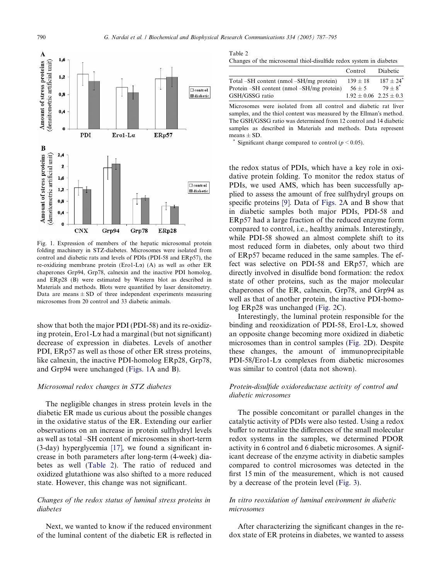<span id="page-3-0"></span>

Fig. 1. Expression of members of the hepatic microsomal protein folding machinery in STZ-diabetes. Microsomes were isolated from control and diabetic rats and levels of PDIs (PDI-58 and ERp57), the re-oxidizing membrane protein (Ero1-L $\alpha$ ) (A) as well as other ER chaperones Grp94, Grp78, calnexin and the inactive PDI homolog, and ERp28 (B) were estimated by Western blot as described in Materials and methods. Blots were quantified by laser densitometry. Data are means  $\pm$  SD of three independent experiments measuring microsomes from 20 control and 33 diabetic animals.

show that both the major PDI (PDI-58) and its re-oxidizing protein,  $E$ ro1-L $\alpha$  had a marginal (but not significant) decrease of expression in diabetes. Levels of another PDI, ERp57 as well as those of other ER stress proteins, like calnexin, the inactive PDI-homolog ERp28, Grp78, and Grp94 were unchanged (Figs. 1A and B).

## Microsomal redox changes in STZ diabetes

The negligible changes in stress protein levels in the diabetic ER made us curious about the possible changes in the oxidative status of the ER. Extending our earlier observations on an increase in protein sulfhydryl levels as well as total –SH content of microsomes in short-term (3-day) hyperglycemia [\[17\]](#page-7-0), we found a significant increase in both parameters after long-term (4-week) diabetes as well (Table 2). The ratio of reduced and oxidized glutathione was also shifted to a more reduced state. However, this change was not significant.

# Changes of the redox status of luminal stress proteins in diabetes

Next, we wanted to know if the reduced environment of the luminal content of the diabetic ER is reflected in

| Table 2                                                            |  |  |
|--------------------------------------------------------------------|--|--|
| Changes of the microsomal thiol-disulfide redox system in diabetes |  |  |

|                                           | Control                    | Diabetic                |
|-------------------------------------------|----------------------------|-------------------------|
| Total –SH content (nmol –SH/mg protein)   | $139 \pm 18$               | $187 + 24$ <sup>*</sup> |
| Protein –SH content (nmol –SH/mg protein) | $56 + 5$                   | $79+8^*$                |
| GSH/GSSG ratio                            | $1.92 + 0.06$ $2.25 + 0.3$ |                         |

Microsomes were isolated from all control and diabetic rat liver samples, and the thiol content was measured by the Ellman's method. The GSH/GSSG ratio was determined from 12 control and 14 diabetic samples as described in Materials and methods. Data represent means  $\pm$  SD.

Significant change compared to control ( $p < 0.05$ ).

the redox status of PDIs, which have a key role in oxidative protein folding. To monitor the redox status of PDIs, we used AMS, which has been successfully applied to assess the amount of free sulfhydryl groups on specific proteins [\[9\]](#page-7-0). Data of [Figs. 2](#page-4-0)A and B show that in diabetic samples both major PDIs, PDI-58 and ERp57 had a large fraction of the reduced enzyme form compared to control, i.e., healthy animals. Interestingly, while PDI-58 showed an almost complete shift to its most reduced form in diabetes, only about two third of ERp57 became reduced in the same samples. The effect was selective on PDI-58 and ERp57, which are directly involved in disulfide bond formation: the redox state of other proteins, such as the major molecular chaperones of the ER, calnexin, Grp78, and Grp94 as well as that of another protein, the inactive PDI-homolog ERp28 was unchanged ([Fig. 2C](#page-4-0)).

Interestingly, the luminal protein responsible for the binding and reoxidization of PDI-58, Ero1-La, showed an opposite change becoming more oxidized in diabetic microsomes than in control samples ([Fig. 2D](#page-4-0)). Despite these changes, the amount of immunoprecipitable PDI-58/Ero1-La complexes from diabetic microsomes was similar to control (data not shown).

# Protein-disulfide oxidoreductase activity of control and diabetic microsomes

The possible concomitant or parallel changes in the catalytic activity of PDIs were also tested. Using a redox buffer to neutralize the differences of the small molecular redox systems in the samples, we determined PDOR activity in 6 control and 6 diabetic microsomes. A significant decrease of the enzyme activity in diabetic samples compared to control microsomes was detected in the first 15 min of the measurement, which is not caused by a decrease of the protein level [\(Fig. 3\)](#page-4-0).

# In vitro reoxidation of luminal environment in diabetic microsomes

After characterizing the significant changes in the redox state of ER proteins in diabetes, we wanted to assess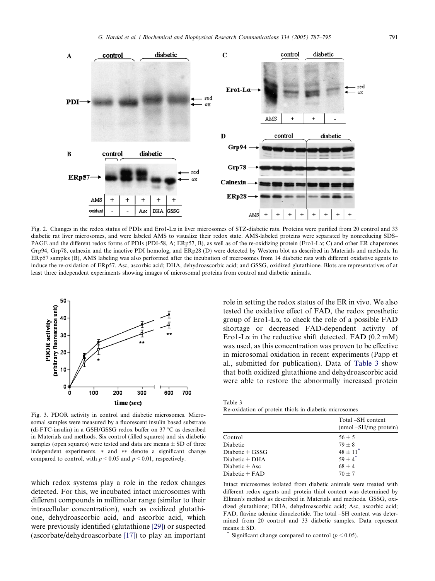<span id="page-4-0"></span>

Fig. 2. Changes in the redox status of PDIs and Ero1-La in liver microsomes of STZ-diabetic rats. Proteins were purified from 20 control and 33 diabetic rat liver microsomes, and were labeled AMS to visualize their redox state. AMS-labeled proteins were separated by nonreducing SDS– PAGE and the different redox forms of PDIs (PDI-58, A; ERp57, B), as well as of the re-oxidizing protein (Ero1-L $\alpha$ ; C) and other ER chaperones Grp94, Grp78, calnexin and the inactive PDI homolog, and ERp28 (D) were detected by Western blot as described in Materials and methods. In ERp57 samples (B), AMS labeling was also performed after the incubation of microsomes from 14 diabetic rats with different oxidative agents to induce the re-oxidation of ERp57. Asc, ascorbic acid; DHA, dehydroascorbic acid; and GSSG, oxidized glutathione. Blots are representatives of at least three independent experiments showing images of microsomal proteins from control and diabetic animals.



Fig. 3. PDOR activity in control and diabetic microsomes. Microsomal samples were measured by a fluorescent insulin based substrate (di-FTC-insulin) in a GSH/GSSG redox buffer on  $37^{\circ}$ C as described in Materials and methods. Six control (filled squares) and six diabetic samples (open squares) were tested and data are means  $\pm$  SD of three independent experiments. \* and \*\* denote a significant change compared to control, with  $p \le 0.05$  and  $p \le 0.01$ , respectively.

which redox systems play a role in the redox changes detected. For this, we incubated intact microsomes with different compounds in millimolar range (similar to their intracellular concentration), such as oxidized glutathione, dehydroascorbic acid, and ascorbic acid, which were previously identified (glutathione [\[29\]](#page-8-0)) or suspected (ascorbate/dehydroascorbate [\[17\]\)](#page-7-0) to play an important role in setting the redox status of the ER in vivo. We also tested the oxidative effect of FAD, the redox prosthetic group of Ero1-La, to check the role of a possible FAD shortage or decreased FAD-dependent activity of Ero1-L $\alpha$  in the reductive shift detected. FAD (0.2 mM) was used, as this concentration was proven to be effective in microsomal oxidation in recent experiments (Papp et al., submitted for publication). Data of Table 3 show that both oxidized glutathione and dehydroascorbic acid were able to restore the abnormally increased protein

Table 3 Re-oxidation of protein thiols in diabetic microsomes

|                   | Total –SH content<br>$(nmol - SH/mg)$ protein) |
|-------------------|------------------------------------------------|
| Control           | $56 + 5$                                       |
| Diabetic          | $79 + 8$                                       |
| Diabetic $+$ GSSG | $48 + 11^*$                                    |
| $Diabetic + DHA$  | $59+4$ <sup>*</sup>                            |
| Diabetic $+$ Asc  | $68 + 4$                                       |
| Diabetic $+$ FAD  | $70 + 7$                                       |
|                   |                                                |

Intact microsomes isolated from diabetic animals were treated with different redox agents and protein thiol content was determined by Ellman's method as described in Materials and methods. GSSG, oxidized glutathione; DHA, dehydroascorbic acid; Asc, ascorbic acid; FAD, flavine adenine dinucleotide. The total –SH content was determined from 20 control and 33 diabetic samples. Data represent means  $\pm$  SD.

Significant change compared to control ( $p < 0.05$ ).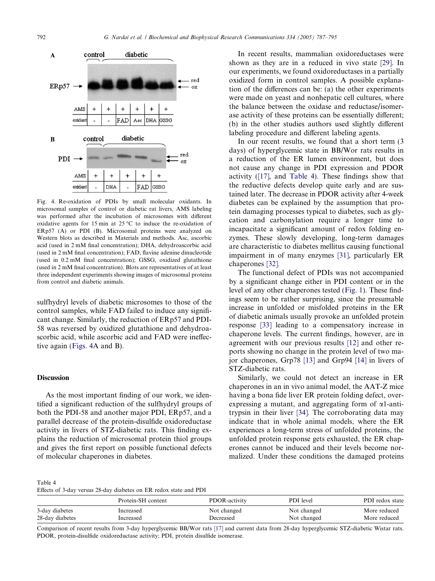

Fig. 4. Re-oxidation of PDIs by small molecular oxidants. In microsomal samples of control or diabetic rat livers, AMS labeling was performed after the incubation of microsomes with different oxidative agents for 15 min at 25  $\degree$ C to induce the re-oxidation of ERp57 (A) or PDI (B). Microsomal proteins were analyzed on Western blots as described in Materials and methods. Asc, ascorbic acid (used in 2 mM final concentration); DHA, dehydroascorbic acid (used in 2 mM final concentration); FAD, flavine adenine dinucleotide (used in 0.2 mM final concentration); GSSG, oxidized glutathione (used in 2 mM final concentration). Blots are representatives of at least three independent experiments showing images of microsomal proteins from control and diabetic animals.

sulfhydryl levels of diabetic microsomes to those of the control samples, while FAD failed to induce any significant change. Similarly, the reduction of ERp57 and PDI-58 was reversed by oxidized glutathione and dehydroascorbic acid, while ascorbic acid and FAD were ineffective again (Figs. 4A and B).

## **Discussion**

As the most important finding of our work, we identified a significant reduction of the sulfhydryl groups of both the PDI-58 and another major PDI, ERp57, and a parallel decrease of the protein-disulfide oxidoreductase activity in livers of STZ-diabetic rats. This finding explains the reduction of microsomal protein thiol groups and gives the first report on possible functional defects of molecular chaperones in diabetes.

In recent results, mammalian oxidoreductases were shown as they are in a reduced in vivo state [\[29\]](#page-8-0). In our experiments, we found oxidoreductases in a partially oxidized form in control samples. A possible explanation of the differences can be: (a) the other experiments were made on yeast and nonhepatic cell cultures, where the balance between the oxidase and reductase/isomerase activity of these proteins can be essentially different; (b) in the other studies authors used slightly different labeling procedure and different labeling agents.

In our recent results, we found that a short term (3 days) of hyperglycemic state in BB/Wor rats results in a reduction of the ER lumen environment, but does not cause any change in PDI expression and PDOR activity [\(\[17\]](#page-7-0), and Table 4). These findings show that the reductive defects develop quite early and are sustained later. The decrease in PDOR activity after 4-week diabetes can be explained by the assumption that protein damaging processes typical to diabetes, such as glycation and carbonylation require a longer time to incapacitate a significant amount of redox folding enzymes. These slowly developing, long-term damages are characteristic to diabetes mellitus causing functional impairment in of many enzymes [\[31\]](#page-8-0), particularly ER chaperones [\[32\]](#page-8-0).

The functional defect of PDIs was not accompanied by a significant change either in PDI content or in the level of any other chaperones tested ([Fig. 1\)](#page-3-0). These findings seem to be rather surprising, since the presumable increase in unfolded or misfolded proteins in the ER of diabetic animals usually provoke an unfolded protein response [\[33\]](#page-8-0) leading to a compensatory increase in chaperone levels. The current findings, however, are in agreement with our previous results [\[12\]](#page-7-0) and other reports showing no change in the protein level of two major chaperones, Grp78 [\[13\]](#page-7-0) and Grp94 [\[14\]](#page-7-0) in livers of STZ-diabetic rats.

Similarly, we could not detect an increase in ER chaperones in an in vivo animal model, the AAT-Z mice having a bona fide liver ER protein folding defect, overexpressing a mutant, and aggregating form of  $\alpha$ 1-antitrypsin in their liver [\[34\]](#page-8-0). The corroborating data may indicate that in whole animal models, where the ER experiences a long-term stress of unfolded proteins, the unfolded protein response gets exhausted, the ER chaperones cannot be induced and their levels become normalized. Under these conditions the damaged proteins

Table 4

Effects of 3-day versus 28-day diabetes on ER redox state and PDI

|                 | Protein-SH content | PDOR-activity | PDI level   | PDI redox state |
|-----------------|--------------------|---------------|-------------|-----------------|
| 3-day diabetes  | Increased          | Not changed   | Not changed | More reduced    |
| 28-day diabetes | Increased          | Decreased     | Not changed | More reduced    |

Comparison of recent results from 3-day hyperglycemic BB/Wor rats [\[17\]](#page-7-0) and current data from 28-day hyperglycemic STZ-diabetic Wistar rats. PDOR, protein-disulfide oxidoreductase activity; PDI, protein disulfide isomerase.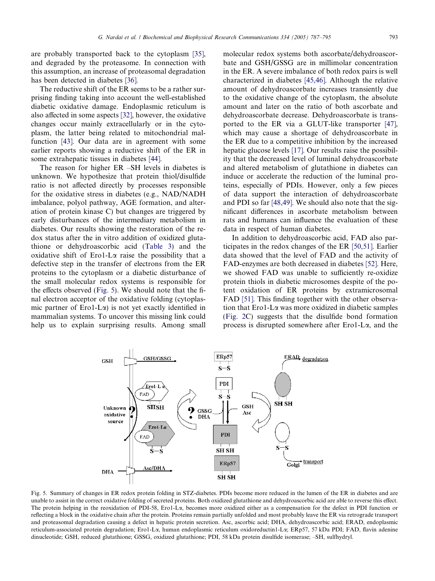are probably transported back to the cytoplasm [\[35\],](#page-8-0) and degraded by the proteasome. In connection with this assumption, an increase of proteasomal degradation has been detected in diabetes [\[36\].](#page-8-0)

The reductive shift of the ER seems to be a rather surprising finding taking into account the well-established diabetic oxidative damage. Endoplasmic reticulum is also affected in some aspects [\[32\],](#page-8-0) however, the oxidative changes occur mainly extracellularly or in the cytoplasm, the latter being related to mitochondrial malfunction [\[43\]](#page-8-0). Our data are in agreement with some earlier reports showing a reductive shift of the ER in some extrahepatic tissues in diabetes [\[44\]](#page-8-0).

The reason for higher ER –SH levels in diabetes is unknown. We hypothesize that protein thiol/disulfide ratio is not affected directly by processes responsible for the oxidative stress in diabetes (e.g., NAD/NADH imbalance, polyol pathway, AGE formation, and alteration of protein kinase C) but changes are triggered by early disturbances of the intermediary metabolism in diabetes. Our results showing the restoration of the redox status after the in vitro addition of oxidized glutathione or dehydroascorbic acid ([Table 3\)](#page-4-0) and the oxidative shift of Ero1-L $\alpha$  raise the possibility that a defective step in the transfer of electrons from the ER proteins to the cytoplasm or a diabetic disturbance of the small molecular redox systems is responsible for the effects observed (Fig. 5). We should note that the final electron acceptor of the oxidative folding (cytoplasmic partner of  $E$ ro1-L $\alpha$ ) is not yet exactly identified in mammalian systems. To uncover this missing link could help us to explain surprising results. Among small

molecular redox systems both ascorbate/dehydroascorbate and GSH/GSSG are in millimolar concentration in the ER. A severe imbalance of both redox pairs is well characterized in diabetes [\[45,46\].](#page-8-0) Although the relative amount of dehydroascorbate increases transiently due to the oxidative change of the cytoplasm, the absolute amount and later on the ratio of both ascorbate and dehydroascorbate decrease. Dehydroascorbate is transported to the ER via a GLUT-like transporter [\[47\],](#page-8-0) which may cause a shortage of dehydroascorbate in the ER due to a competitive inhibition by the increased hepatic glucose levels [\[17\].](#page-7-0) Our results raise the possibility that the decreased level of luminal dehydroascorbate and altered metabolism of glutathione in diabetes can induce or accelerate the reduction of the luminal proteins, especially of PDIs. However, only a few pieces of data support the interaction of dehydroascorbate and PDI so far [\[48,49\].](#page-8-0) We should also note that the significant differences in ascorbate metabolism between rats and humans can influence the evaluation of these data in respect of human diabetes.

In addition to dehydroascorbic acid, FAD also participates in the redox changes of the ER [\[50,51\].](#page-8-0) Earlier data showed that the level of FAD and the activity of FAD-enzymes are both decreased in diabetes [\[52\].](#page-8-0) Here, we showed FAD was unable to sufficiently re-oxidize protein thiols in diabetic microsomes despite of the potent oxidation of ER proteins by extramicrosomal FAD [\[51\]](#page-8-0). This finding together with the other observation that  $E$ ro1-L $\alpha$  was more oxidized in diabetic samples ([Fig. 2](#page-4-0)C) suggests that the disulfide bond formation process is disrupted somewhere after  $E_{\text{TO}}$ 1-L $\alpha$ , and the



Fig. 5. Summary of changes in ER redox protein folding in STZ-diabetes. PDIs become more reduced in the lumen of the ER in diabetes and are unable to assist in the correct oxidative folding of secreted proteins. Both oxidized glutathione and dehydroascorbic acid are able to reverse this effect. The protein helping in the reoxidation of PDI-58, Ero1-La, becomes more oxidized either as a compensation for the defect in PDI function or reflecting a block in the oxidative chain after the protein. Proteins remain partially unfolded and most probably leave the ER via retrograde transport and proteasomal degradation causing a defect in hepatic protein secretion. Asc, ascorbic acid; DHA, dehydroascorbic acid; ERAD, endoplasmic reticulum-associated protein degradation; Ero1-La, human endoplasmic reticulum oxidoreductin1-La; ERp57, 57 kDa PDI; FAD, flavin adenine dinucleotide; GSH, reduced glutathione; GSSG, oxidized glutathione; PDI, 58 kDa protein disulfide isomerase; –SH, sulfhydryl.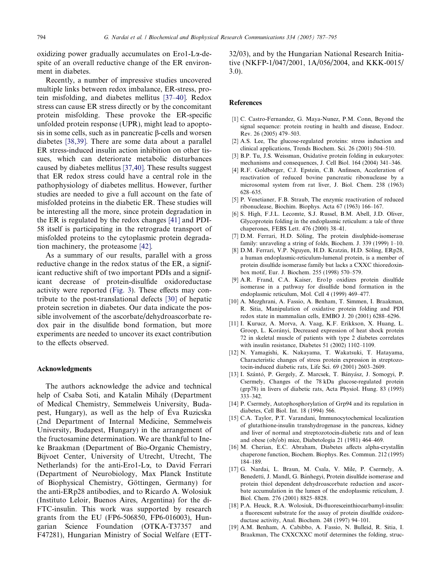<span id="page-7-0"></span>oxidizing power gradually accumulates on Ero1-La-despite of an overall reductive change of the ER environment in diabetes.

Recently, a number of impressive studies uncovered multiple links between redox imbalance, ER-stress, protein misfolding, and diabetes mellitus [\[37–40\].](#page-8-0) Redox stress can cause ER stress directly or by the concomitant protein misfolding. These provoke the ER-specific unfolded protein response (UPR), might lead to apoptosis in some cells, such as in pancreatic  $\beta$ -cells and worsen diabetes [\[38,39\].](#page-8-0) There are some data about a parallel ER stress-induced insulin action inhibition on other tissues, which can deteriorate metabolic disturbances caused by diabetes mellitus [\[37,40\]](#page-8-0). These results suggest that ER redox stress could have a central role in the pathophysiology of diabetes mellitus. However, further studies are needed to give a full account on the fate of misfolded proteins in the diabetic ER. These studies will be interesting all the more, since protein degradation in the ER is regulated by the redox changes [\[41\]](#page-8-0) and PDI-58 itself is participating in the retrograde transport of misfolded proteins to the cytoplasmic protein degradation machinery, the proteasome [\[42\]](#page-8-0).

As a summary of our results, parallel with a gross reductive change in the redox status of the ER, a significant reductive shift of two important PDIs and a significant decrease of protein-disulfide oxidoreductase activity were reported ([Fig. 3\)](#page-4-0). These effects may contribute to the post-translational defects [\[30\]](#page-8-0) of hepatic protein secretion in diabetes. Our data indicate the possible involvement of the ascorbate/dehydroascorbate redox pair in the disulfide bond formation, but more experiments are needed to uncover its exact contribution to the effects observed.

#### Acknowledgments

The authors acknowledge the advice and technical help of Csaba Soti, and Katalin Mihály (Department of Medical Chemistry, Semmelweis University, Budapest, Hungary), as well as the help of Eva Ruzicska (2nd Department of Internal Medicine, Semmelweis University, Budapest, Hungary) in the arrangement of the fructosamine determination. We are thankful to Ineke Braakman (Department of Bio-Organic Chemistry, Bijvoet Center, University of Utrecht, Utrecht, The Netherlands) for the anti-Ero1-La, to David Ferrari (Department of Neurobiology, Max Planck Institute of Biophysical Chemistry, Göttingen, Germany) for the anti-ERp28 antibodies, and to Ricardo A. Wolosiuk (Instituto Leloir, Buenos Aires, Argentina) for the di-FTC-insulin. This work was supported by research grants from the EU (FP6-506850, FP6-016003), Hungarian Science Foundation (OTKA-T37357 and F47281), Hungarian Ministry of Social Welfare (ETT- 32/03), and by the Hungarian National Research Initiative (NKFP-1/047/2001, 1A/056/2004, and KKK-0015/ 3.0).

## References

- [1] C. Castro-Fernandez, G. Maya-Nunez, P.M. Conn, Beyond the signal sequence: protein routing in health and disease, Endocr. Rev. 26 (2005) 479–503.
- [2] A.S. Lee, The glucose-regulated proteins: stress induction and clinical applications, Trends Biochem. Sci. 26 (2001) 504–510.
- [3] B.P. Tu, J.S. Weissman, Oxidative protein folding in eukaryotes: mechanisms and consequences, J. Cell Biol. 164 (2004) 341–346.
- [4] R.F. Goldberger, C.J. Epstein, C.B. Anfinsen, Acceleration of reactivation of reduced bovine pancreatic ribonuclease by a microsomal system from rat liver, J. Biol. Chem. 238 (1963) 628–635.
- [5] P. Venetianer, F.B. Straub, The enzymic reactivation of reduced ribonuclease, Biochim. Biophys. Acta 67 (1963) 166–167.
- [6] S. High, F.J.L. Lecomte, S.J. Russel, B.M. Abell, J.D. Oliver, Glycoprotein folding in the endoplasmic reticulum: a tale of three chaperones, FEBS Lett. 476 (2000) 38–41.
- [7] D.M. Ferrari, H.D. Söling, The protein disulphide-isomerase family: unraveling a string of folds, Biochem. J. 339 (1999) 1–10.
- [8] D.M. Ferrari, V.P. Nguyen, H.D. Kratzin, H.D. Söling, ERp28, a human endoplasmic-reticulum-lumenal protein, is a member of protein disulfide isomerase family but lacks a CXXC thioredoxinbox motif, Eur. J. Biochem. 255 (1998) 570–579.
- [9] A.R. Frand, C.A. Kaiser, Ero1p oxidizes protein disulfide isomerase in a pathway for disulfide bond formation in the endoplasmic reticulum, Mol. Cell 4 (1999) 469–477.
- [10] A. Mezghrani, A. Fassio, A. Benham, T. Simmen, I. Braakman, R. Sitia, Manipulation of oxidative protein folding and PDI redox state in mammalian cells, EMBO J. 20 (2001) 6288–6296.
- [11] I. Kurucz, A. Morva, A. Vaag, K.F. Erikkson, X. Huang, L. Groop, L. Korányi, Decreased expression of heat shock protein 72 in skeletal muscle of patients with type 2 diabetes correlates with insulin resistance, Diabetes 51 (2002) 1102–1109.
- [12] N. Yamagishi, K. Nakayama, T. Wakatsuki, T. Hatayama, Characteristic changes of stress protein expression in streptozotocin-induced diabetic rats, Life Sci. 69 (2001) 2603–2609.
- [13] I. Szántó, P. Gergely, Z. Marcsek, T. Bányász, J. Somogyi, P. Csermely, Changes of the 78 kDa glucose-regulated protein (grp78) in livers of diabetic rats, Acta Physiol. Hung. 83 (1995) 333–342.
- [14] P. Csermely, Autophosphorylation of Grp94 and its regulation in diabetes, Cell Biol. Int. 18 (1994) 566.
- [15] C.A. Taylor, P.T. Varandani, Immunocytochemical localization of glutathione-insulin transhydrogenase in the pancreas, kidney and liver of normal and streptozotocin-diabetic rats and of lean and obese (ob/ob) mice, Diabetologia 21 (1981) 464–469.
- [16] M. Cherian, E.C. Abraham, Diabetes affects alpha-crystallin chaperone function, Biochem. Biophys. Res. Commun. 212 (1995) 184–189.
- [17] G. Nardai, L. Braun, M. Csala, V. Mile, P. Csermely, A. Benedetti, J. Mandl, G. Bánhegyi, Protein disulfide isomerase and protein thiol dependent dehydroascorbate reduction and ascorbate accumulation in the lumen of the endoplasmic reticulum, J. Biol. Chem. 276 (2001) 8825–8828.
- [18] P.A. Heuck, R.A. Wolosiuk, Di-fluoresceinthiocarbamyl-insulin: a fluorescent substrate for the assay of protein disulfide oxidoreductase activity, Anal. Biochem. 248 (1997) 94–101.
- [19] A.M. Benham, A. Cabibbo, A. Fassio, N. Bulleid, R. Sitia, I. Braakman, The CXXCXXC motif determines the folding, struc-